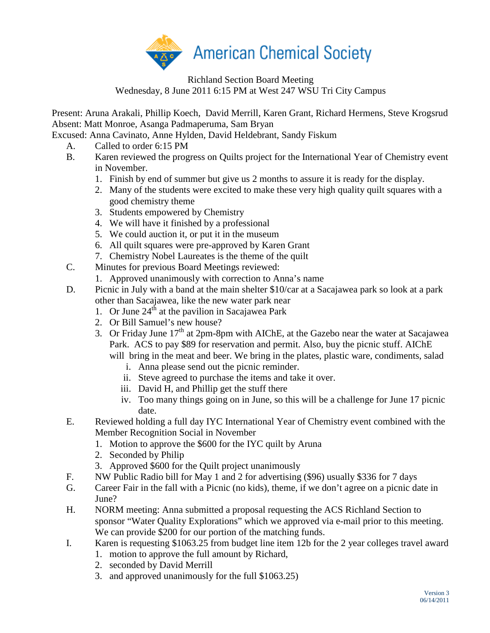

Richland Section Board Meeting Wednesday, 8 June 2011 6:15 PM at West 247 WSU Tri City Campus

Present: Aruna Arakali, Phillip Koech, David Merrill, Karen Grant, Richard Hermens, Steve Krogsrud Absent: Matt Monroe, Asanga Padmaperuma, Sam Bryan

Excused: Anna Cavinato, Anne Hylden, David Heldebrant, Sandy Fiskum

- A. Called to order 6:15 PM
- B. Karen reviewed the progress on Quilts project for the International Year of Chemistry event in November.
	- 1. Finish by end of summer but give us 2 months to assure it is ready for the display.
	- 2. Many of the students were excited to make these very high quality quilt squares with a good chemistry theme
	- 3. Students empowered by Chemistry
	- 4. We will have it finished by a professional
	- 5. We could auction it, or put it in the museum
	- 6. All quilt squares were pre-approved by Karen Grant
	- 7. Chemistry Nobel Laureates is the theme of the quilt
- C. Minutes for previous Board Meetings reviewed:
	- 1. Approved unanimously with correction to Anna's name
- D. Picnic in July with a band at the main shelter \$10/car at a Sacajawea park so look at a park other than Sacajawea, like the new water park near
	- 1. Or June  $24<sup>th</sup>$  at the pavilion in Sacajawea Park
	- 2. Or Bill Samuel's new house?
	- 3. Or Friday June  $17<sup>th</sup>$  at 2pm-8pm with AIChE, at the Gazebo near the water at Sacajawea Park. ACS to pay \$89 for reservation and permit. Also, buy the picnic stuff. AIChE will bring in the meat and beer. We bring in the plates, plastic ware, condiments, salad
		- i. Anna please send out the picnic reminder.
		- ii. Steve agreed to purchase the items and take it over.
		- iii. David H, and Phillip get the stuff there
		- iv. Too many things going on in June, so this will be a challenge for June 17 picnic date.
- E. Reviewed holding a full day IYC International Year of Chemistry event combined with the Member Recognition Social in November
	- 1. Motion to approve the \$600 for the IYC quilt by Aruna
	- 2. Seconded by Philip
	- 3. Approved \$600 for the Quilt project unanimously
- F. NW Public Radio bill for May 1 and 2 for advertising (\$96) usually \$336 for 7 days
- G. Career Fair in the fall with a Picnic (no kids), theme, if we don't agree on a picnic date in June?
- H. NORM meeting: Anna submitted a proposal requesting the ACS Richland Section to sponsor "Water Quality Explorations" which we approved via e-mail prior to this meeting. We can provide \$200 for our portion of the matching funds.
- I. Karen is requesting \$1063.25 from budget line item 12b for the 2 year colleges travel award
	- 1. motion to approve the full amount by Richard,
	- 2. seconded by David Merrill
	- 3. and approved unanimously for the full \$1063.25)